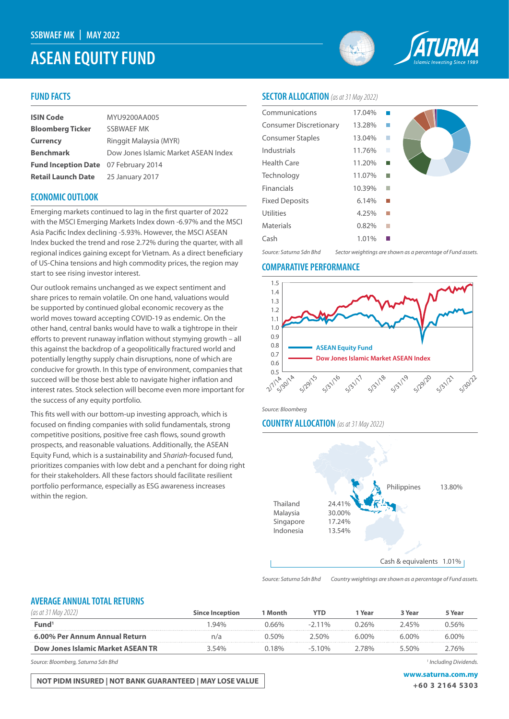# **ASEAN EQUITY FUND**



## **FUND FACTS**

| <b>ISIN Code</b>                            | MYU9200AA005                         |  |
|---------------------------------------------|--------------------------------------|--|
| <b>Bloomberg Ticker</b>                     | SSBWAEF MK                           |  |
| <b>Currency</b>                             | Ringgit Malaysia (MYR)               |  |
| <b>Benchmark</b>                            | Dow Jones Islamic Market ASEAN Index |  |
| <b>Fund Inception Date</b> 07 February 2014 |                                      |  |
| <b>Retail Launch Date</b>                   | 25 January 2017                      |  |

## **ECONOMIC OUTLOOK**

Emerging markets continued to lag in the first quarter of 2022 with the MSCI Emerging Markets Index down -6.97% and the MSCI Asia Pacific Index declining -5.93%. However, the MSCI ASEAN Index bucked the trend and rose 2.72% during the quarter, with all regional indices gaining except for Vietnam. As a direct beneficiary of US-China tensions and high commodity prices, the region may start to see rising investor interest.

Our outlook remains unchanged as we expect sentiment and share prices to remain volatile. On one hand, valuations would be supported by continued global economic recovery as the world moves toward accepting COVID-19 as endemic. On the other hand, central banks would have to walk a tightrope in their efforts to prevent runaway inflation without stymying growth – all this against the backdrop of a geopolitically fractured world and potentially lengthy supply chain disruptions, none of which are conducive for growth. In this type of environment, companies that succeed will be those best able to navigate higher inflation and interest rates. Stock selection will become even more important for the success of any equity portfolio.

This fits well with our bottom-up investing approach, which is focused on finding companies with solid fundamentals, strong competitive positions, positive free cash flows, sound growth prospects, and reasonable valuations. Additionally, the ASEAN Equity Fund, which is a sustainability and *Shariah*-focused fund, prioritizes companies with low debt and a penchant for doing right for their stakeholders. All these factors should facilitate resilient portfolio performance, especially as ESG awareness increases within the region.

# **SECTOR ALLOCATION** *(as at 31 May 2022)*

| Communications                | 17.04% |   |  |
|-------------------------------|--------|---|--|
| <b>Consumer Discretionary</b> | 13.28% |   |  |
| <b>Consumer Staples</b>       | 13.04% |   |  |
| Industrials                   | 11.76% | п |  |
| Health Care                   | 11.20% |   |  |
| Technology                    | 11.07% |   |  |
| <b>Financials</b>             | 10.39% |   |  |
| <b>Fixed Deposits</b>         | 6.14%  |   |  |
| <b>Utilities</b>              | 4.25%  |   |  |
| <b>Materials</b>              | 0.82%  |   |  |
| Cash                          | 1.01%  |   |  |
|                               |        |   |  |

*Source: Saturna Sdn Bhd Sector weightings are shown as a percentage of Fund assets.*

#### **COMPARATIVE PERFORMANCE**



*Source: Bloomberg*

#### **COUNTRY ALLOCATION** *(as at 31 May 2022)*



*Source: Saturna Sdn Bhd Country weightings are shown as a percentage of Fund assets.*

## **AVERAGE ANNUAL TOTAL RETURNS**

| (as at 3                          | <b>Since Inception</b> | 1 Month | YTD       | Year  | 3 Year | 5 Year |
|-----------------------------------|------------------------|---------|-----------|-------|--------|--------|
| Fund'                             | $94\%$                 | ገ 66%   | $-2.11\%$ | 26%   | ) 45%  | ገ 56%  |
| 6.00% Per Annum Annual Return     | n/a                    | ገ 50%   | ה50% י    | 6.00% | 6 በበ%  | 6 በበ%  |
| Dow Jones Islamic Market ASEAN TR | 3 54%                  | 18%     | $-510%$   | 78%   | 550%   | 76%    |

*Source: Bloomberg, Saturna Sdn Bhd 1*

**NOT PIDM INSURED | NOT BANK GUARANTEED | MAY LOSE VALUE WAS ARRIVED AND MY WAS A LOSE OF A STAR FOOT** 

 *Including Dividends.* 

**+60 3 2164 5303**